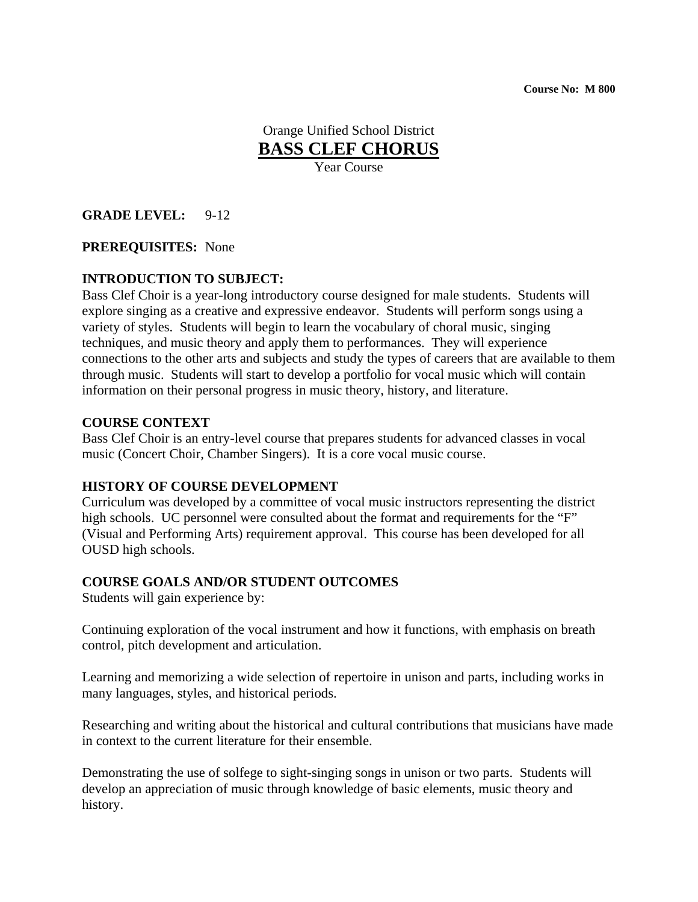**Course No: M 800** 

Orange Unified School District **BASS CLEF CHORUS**

Year Course

### **GRADE LEVEL:** 9-12

#### **PREREQUISITES:** None

## **INTRODUCTION TO SUBJECT:**

Bass Clef Choir is a year-long introductory course designed for male students. Students will explore singing as a creative and expressive endeavor. Students will perform songs using a variety of styles. Students will begin to learn the vocabulary of choral music, singing techniques, and music theory and apply them to performances. They will experience connections to the other arts and subjects and study the types of careers that are available to them through music. Students will start to develop a portfolio for vocal music which will contain information on their personal progress in music theory, history, and literature.

#### **COURSE CONTEXT**

Bass Clef Choir is an entry-level course that prepares students for advanced classes in vocal music (Concert Choir, Chamber Singers). It is a core vocal music course.

#### **HISTORY OF COURSE DEVELOPMENT**

Curriculum was developed by a committee of vocal music instructors representing the district high schools. UC personnel were consulted about the format and requirements for the "F" (Visual and Performing Arts) requirement approval. This course has been developed for all OUSD high schools.

### **COURSE GOALS AND/OR STUDENT OUTCOMES**

Students will gain experience by:

Continuing exploration of the vocal instrument and how it functions, with emphasis on breath control, pitch development and articulation.

Learning and memorizing a wide selection of repertoire in unison and parts, including works in many languages, styles, and historical periods.

Researching and writing about the historical and cultural contributions that musicians have made in context to the current literature for their ensemble.

Demonstrating the use of solfege to sight-singing songs in unison or two parts. Students will develop an appreciation of music through knowledge of basic elements, music theory and history.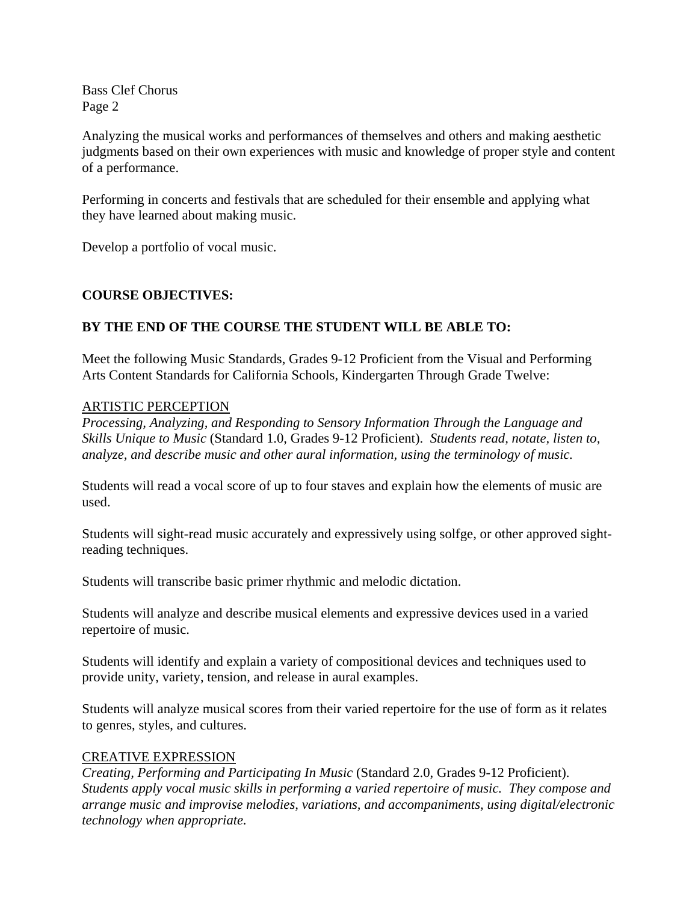Analyzing the musical works and performances of themselves and others and making aesthetic judgments based on their own experiences with music and knowledge of proper style and content of a performance.

Performing in concerts and festivals that are scheduled for their ensemble and applying what they have learned about making music.

Develop a portfolio of vocal music.

## **COURSE OBJECTIVES:**

# **BY THE END OF THE COURSE THE STUDENT WILL BE ABLE TO:**

Meet the following Music Standards, Grades 9-12 Proficient from the Visual and Performing Arts Content Standards for California Schools, Kindergarten Through Grade Twelve:

### ARTISTIC PERCEPTION

*Processing, Analyzing, and Responding to Sensory Information Through the Language and Skills Unique to Music* (Standard 1.0, Grades 9-12 Proficient). *Students read, notate, listen to, analyze, and describe music and other aural information, using the terminology of music.*

Students will read a vocal score of up to four staves and explain how the elements of music are used.

Students will sight-read music accurately and expressively using solfge, or other approved sightreading techniques.

Students will transcribe basic primer rhythmic and melodic dictation.

Students will analyze and describe musical elements and expressive devices used in a varied repertoire of music.

Students will identify and explain a variety of compositional devices and techniques used to provide unity, variety, tension, and release in aural examples.

Students will analyze musical scores from their varied repertoire for the use of form as it relates to genres, styles, and cultures.

# CREATIVE EXPRESSION

*Creating, Performing and Participating In Music* (Standard 2.0, Grades 9-12 Proficient). *Students apply vocal music skills in performing a varied repertoire of music. They compose and arrange music and improvise melodies, variations, and accompaniments, using digital/electronic technology when appropriate.*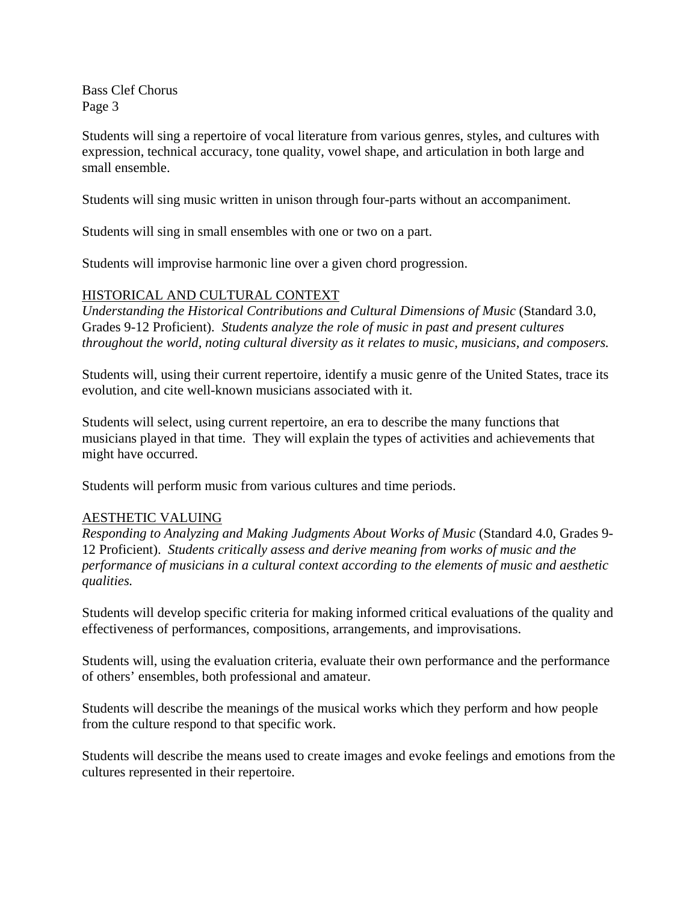Students will sing a repertoire of vocal literature from various genres, styles, and cultures with expression, technical accuracy, tone quality, vowel shape, and articulation in both large and small ensemble.

Students will sing music written in unison through four-parts without an accompaniment.

Students will sing in small ensembles with one or two on a part.

Students will improvise harmonic line over a given chord progression.

## HISTORICAL AND CULTURAL CONTEXT

*Understanding the Historical Contributions and Cultural Dimensions of Music* (Standard 3.0, Grades 9-12 Proficient). *Students analyze the role of music in past and present cultures throughout the world, noting cultural diversity as it relates to music, musicians, and composers.* 

Students will, using their current repertoire, identify a music genre of the United States, trace its evolution, and cite well-known musicians associated with it.

Students will select, using current repertoire, an era to describe the many functions that musicians played in that time. They will explain the types of activities and achievements that might have occurred.

Students will perform music from various cultures and time periods.

### AESTHETIC VALUING

*Responding to Analyzing and Making Judgments About Works of Music* (Standard 4.0, Grades 9- 12 Proficient). *Students critically assess and derive meaning from works of music and the performance of musicians in a cultural context according to the elements of music and aesthetic qualities.* 

Students will develop specific criteria for making informed critical evaluations of the quality and effectiveness of performances, compositions, arrangements, and improvisations.

Students will, using the evaluation criteria, evaluate their own performance and the performance of others' ensembles, both professional and amateur.

Students will describe the meanings of the musical works which they perform and how people from the culture respond to that specific work.

Students will describe the means used to create images and evoke feelings and emotions from the cultures represented in their repertoire.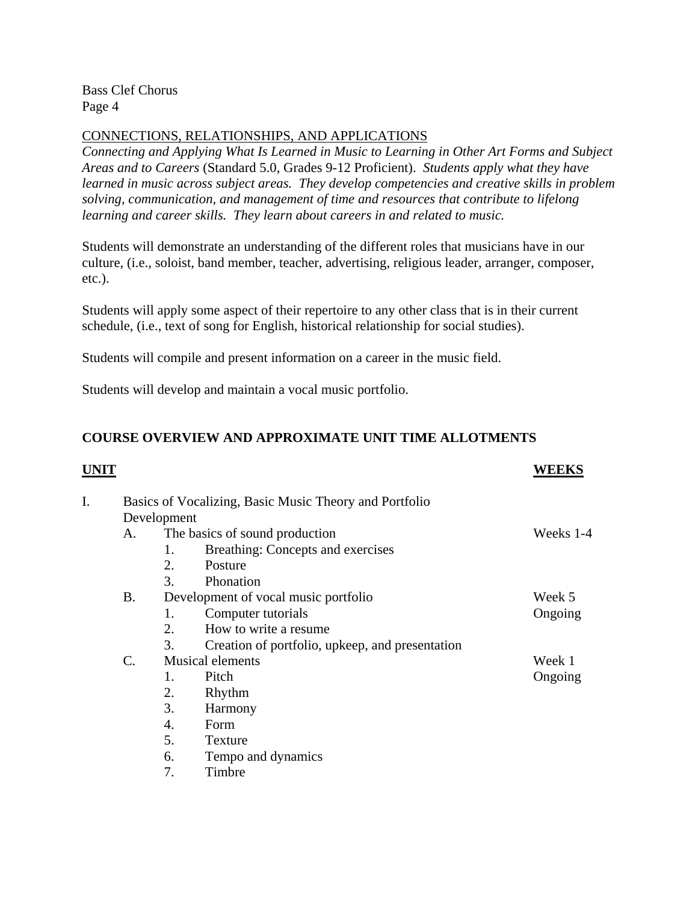# CONNECTIONS, RELATIONSHIPS, AND APPLICATIONS

*Connecting and Applying What Is Learned in Music to Learning in Other Art Forms and Subject Areas and to Careers* (Standard 5.0, Grades 9-12 Proficient). *Students apply what they have learned in music across subject areas. They develop competencies and creative skills in problem solving, communication, and management of time and resources that contribute to lifelong learning and career skills. They learn about careers in and related to music.* 

Students will demonstrate an understanding of the different roles that musicians have in our culture, (i.e., soloist, band member, teacher, advertising, religious leader, arranger, composer, etc.).

Students will apply some aspect of their repertoire to any other class that is in their current schedule, (i.e., text of song for English, historical relationship for social studies).

Students will compile and present information on a career in the music field.

Students will develop and maintain a vocal music portfolio.

# **COURSE OVERVIEW AND APPROXIMATE UNIT TIME ALLOTMENTS**

| UNIT |                                                        |                                |                                                 | WEEKS   |  |  |
|------|--------------------------------------------------------|--------------------------------|-------------------------------------------------|---------|--|--|
| I.   | Basics of Vocalizing, Basic Music Theory and Portfolio |                                |                                                 |         |  |  |
|      | Development                                            |                                |                                                 |         |  |  |
|      | А.                                                     | The basics of sound production | Weeks 1-4                                       |         |  |  |
|      |                                                        | 1.                             | Breathing: Concepts and exercises               |         |  |  |
|      |                                                        | 2.                             | Posture                                         |         |  |  |
|      |                                                        | 3.                             | Phonation                                       |         |  |  |
|      | Β.                                                     |                                | Development of vocal music portfolio            | Week 5  |  |  |
|      |                                                        | 1.                             | Computer tutorials                              | Ongoing |  |  |
|      |                                                        | 2.                             | How to write a resume.                          |         |  |  |
|      |                                                        | 3.                             | Creation of portfolio, upkeep, and presentation |         |  |  |
|      | $\mathcal{C}$ .                                        | <b>Musical elements</b>        |                                                 | Week 1  |  |  |
|      |                                                        | 1.                             | Pitch                                           | Ongoing |  |  |
|      |                                                        | 2.                             | Rhythm                                          |         |  |  |
|      |                                                        | 3.                             | Harmony                                         |         |  |  |
|      |                                                        | 4.                             | Form                                            |         |  |  |
|      |                                                        | 5.                             | Texture                                         |         |  |  |
|      |                                                        | 6.                             | Tempo and dynamics                              |         |  |  |

7. Timbre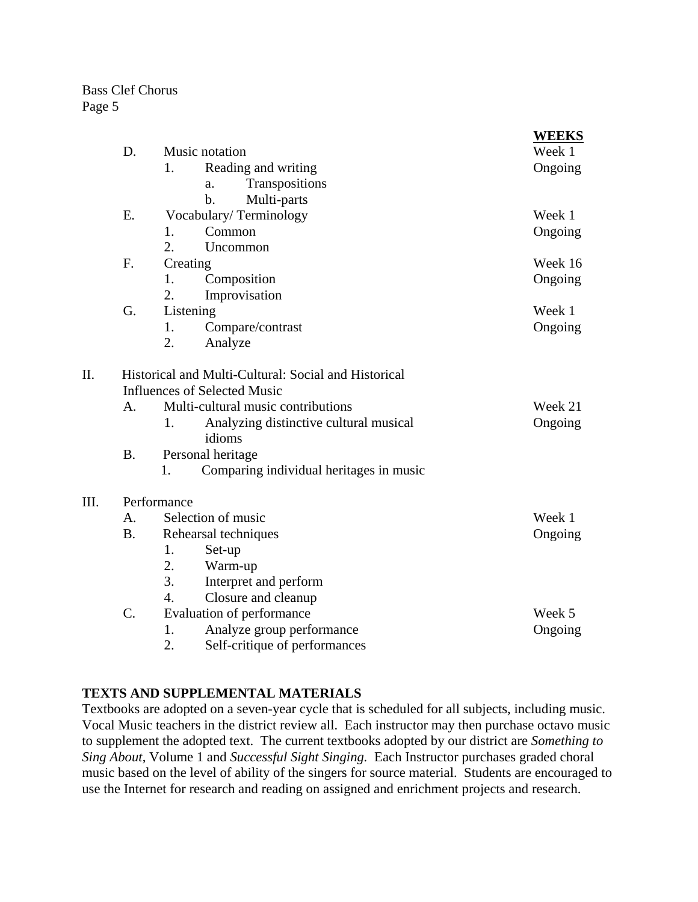$III.$ 

|      |             |                                                        | <b>WEEKS</b> |  |  |  |  |
|------|-------------|--------------------------------------------------------|--------------|--|--|--|--|
|      | D.          | Music notation                                         | Week 1       |  |  |  |  |
|      |             | 1.<br>Reading and writing                              | Ongoing      |  |  |  |  |
|      |             | Transpositions<br>a.                                   |              |  |  |  |  |
|      |             | Multi-parts<br>b.                                      |              |  |  |  |  |
|      | E.          | Vocabulary/Terminology                                 | Week 1       |  |  |  |  |
|      |             | Common<br>1.                                           | Ongoing      |  |  |  |  |
|      |             | 2.<br>Uncommon                                         |              |  |  |  |  |
|      | F.          | Creating                                               | Week 16      |  |  |  |  |
|      |             | 1.<br>Composition                                      | Ongoing      |  |  |  |  |
|      |             | 2.<br>Improvisation                                    |              |  |  |  |  |
|      | G.          | Listening                                              | Week 1       |  |  |  |  |
|      |             | Compare/contrast<br>1.                                 | Ongoing      |  |  |  |  |
|      |             | 2.<br>Analyze                                          |              |  |  |  |  |
| II.  |             | Historical and Multi-Cultural: Social and Historical   |              |  |  |  |  |
|      |             | <b>Influences of Selected Music</b>                    |              |  |  |  |  |
|      | A.          | Multi-cultural music contributions                     | Week 21      |  |  |  |  |
|      |             | Analyzing distinctive cultural musical<br>1.<br>idioms | Ongoing      |  |  |  |  |
|      | <b>B.</b>   | Personal heritage                                      |              |  |  |  |  |
|      |             | Comparing individual heritages in music<br>1.          |              |  |  |  |  |
| III. | Performance |                                                        |              |  |  |  |  |
|      | А.          | Selection of music                                     | Week 1       |  |  |  |  |
|      | <b>B.</b>   | Rehearsal techniques                                   | Ongoing      |  |  |  |  |
|      |             | 1.<br>Set-up                                           |              |  |  |  |  |
|      |             | 2.<br>Warm-up                                          |              |  |  |  |  |
|      |             | 3.<br>Interpret and perform                            |              |  |  |  |  |
|      |             | Closure and cleanup<br>$\overline{4}$ .                |              |  |  |  |  |
|      | C.          | Evaluation of performance                              | Week 5       |  |  |  |  |
|      |             | Analyze group performance<br>1.                        | Ongoing      |  |  |  |  |
|      |             | 2.<br>Self-critique of performances                    |              |  |  |  |  |

# **TEXTS AND SUPPLEMENTAL MATERIALS**

Textbooks are adopted on a seven-year cycle that is scheduled for all subjects, including music. Vocal Music teachers in the district review all. Each instructor may then purchase octavo music to supplement the adopted text. The current textbooks adopted by our district are *Something to Sing About*, Volume 1 and *Successful Sight Singing.* Each Instructor purchases graded choral music based on the level of ability of the singers for source material. Students are encouraged to use the Internet for research and reading on assigned and enrichment projects and research.